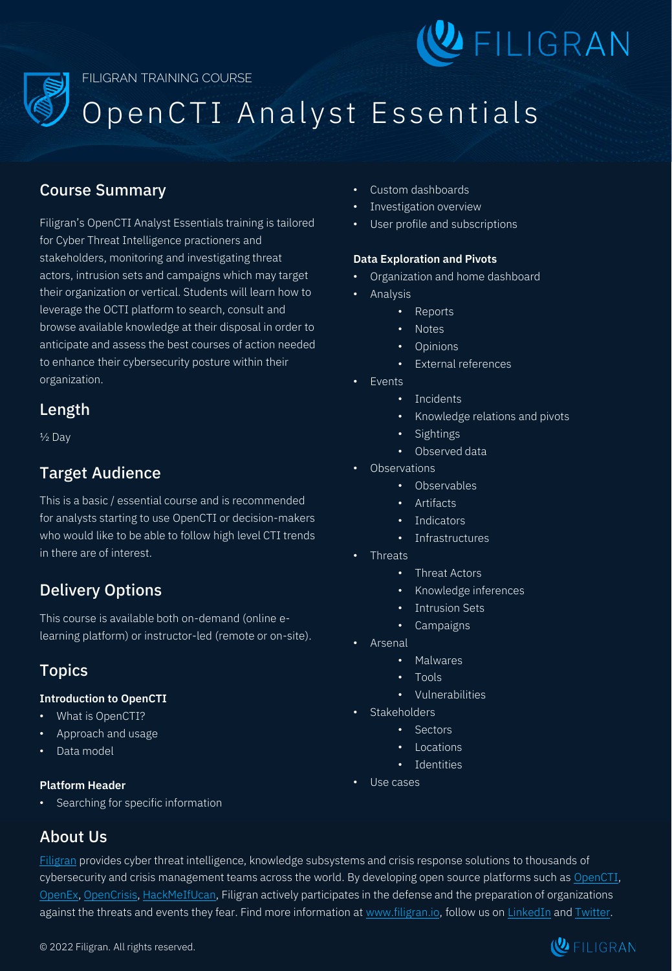

# Open CTI Analyst Essentials

## Course Summary

Filigran's OpenCTI Analyst Essentials training is tailored for Cyber Threat Intelligence practioners and stakeholders, monitoring and investigating threat actors, intrusion sets and campaigns which may target their organization or vertical. Students will learn how to leverage the OCTI platform to search, consult and browse available knowledge at their disposal in order to anticipate and assess the best courses of action needed to enhance their cybersecurity posture within their organization.

## Length

½ Day

## Target Audience

This is a basic / essential course and is recommended for analysts starting to use OpenCTI or decision-makers who would like to be able to follow high level CTI trends in there are of interest.

# Delivery Options

This course is available both on-demand (online elearning platform) or instructor-led (remote or on-site).

# Topics

#### **Introduction to OpenCTI**

- What is OpenCTI?
- Approach and usage
- Data model

#### **Platform Header**

• Searching for specific information

## About Us

- Custom dashboards
- Investigation overview
- User profile and subscriptions

#### **Data Exploration and Pivots**

- Organization and home dashboard
- **Analysis** 
	- Reports
	- Notes
	- **Opinions**
	- External references
- **Events** 
	- Incidents
	- Knowledge relations and pivots
	- **Sightings**
	- Observed data
- Observations
	- Observables
	- Artifacts
	- **Indicators**
	- Infrastructures
- Threats
	- Threat Actors
	- Knowledge inferences
	- **Intrusion Sets**
	- **Campaigns**
- **Arsenal** 
	- Malwares
	- Tools
	- Vulnerabilities
- Stakeholders
	- Sectors
	- Locations
	- Identities
- Use cases

[Filigran](https://www.filigran.io/) provides cyber threat intelligence, knowledge subsystems and crisis response solutions to thousands of cybersecurity and crisis management teams across the world. By developing open source platforms such as [OpenCTI](https://www.opencti.io/), [OpenEx,](https://www.openex.io/) [OpenCrisis,](https://www.opencrisis.io/) [HackMeIfUcan,](https://www.hmiuc.io/) Filigran actively participates in the defense and the preparation of organizations against the threats and events they fear. Find more information at [www.filigran.io,](https://www.filigran.io/) follow us on [LinkedIn](https://www.linkedin.com/company/filigran) and [Twitter.](https://twitter.com/FiligranHQ)

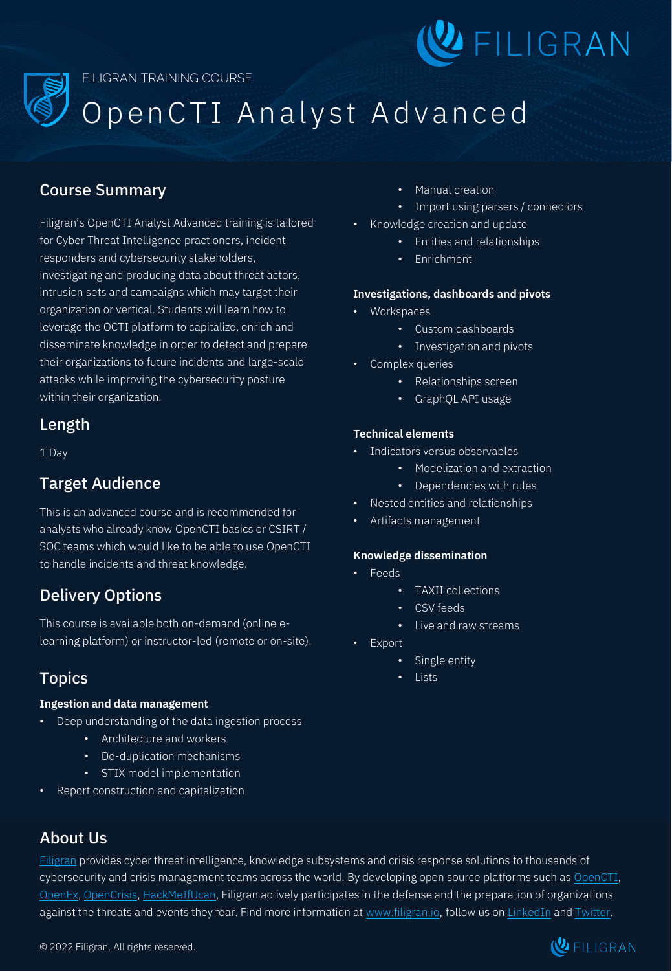

# Open CTI Analyst Advanced

## Course Summary

Filigran's OpenCTI Analyst Advanced training is tailored for Cyber Threat Intelligence practioners, incident responders and cybersecurity stakeholders, investigating and producing data about threat actors, intrusion sets and campaigns which may target their organization or vertical. Students will learn how to leverage the OCTI platform to capitalize, enrich and disseminate knowledge in order to detect and prepare their organizations to future incidents and large-scale attacks while improving the cybersecurity posture within their organization.

## Length

1 Day

## Target Audience

This is an advanced course and is recommended for analysts who already know OpenCTI basics or CSIRT / SOC teams which would like to be able to use OpenCTI to handle incidents and threat knowledge.

# Delivery Options

This course is available both on-demand (online elearning platform) or instructor-led (remote or on-site).

# Topics

## **Ingestion and data management**

- Deep understanding of the data ingestion process
	- Architecture and workers
	- De-duplication mechanisms
	- STIX model implementation
- Report construction and capitalization
- Manual creation
- Import using parsers / connectors
- Knowledge creation and update
	- Entities and relationships
	- Enrichment

### **Investigations, dashboards and pivots**

- Workspaces
	- Custom dashboards
	- Investigation and pivots
- Complex queries
	- Relationships screen
	- GraphQL API usage

### **Technical elements**

- Indicators versus observables
	- Modelization and extraction
	- Dependencies with rules
- Nested entities and relationships
- Artifacts management

#### **Knowledge dissemination**

- Feeds
	- TAXII collections
	- CSV feeds
	- Live and raw streams
- **Export** 
	- Single entity
	- Lists

# About Us

[Filigran](https://www.filigran.io/) provides cyber threat intelligence, knowledge subsystems and crisis response solutions to thousands of cybersecurity and crisis management teams across the world. By developing open source platforms such as [OpenCTI](https://www.opencti.io/), [OpenEx,](https://www.openex.io/) [OpenCrisis,](https://www.opencrisis.io/) [HackMeIfUcan,](https://www.hmiuc.io/) Filigran actively participates in the defense and the preparation of organizations against the threats and events they fear. Find more information at [www.filigran.io,](https://www.filigran.io/) follow us on [LinkedIn](https://www.linkedin.com/company/filigran) and [Twitter.](https://twitter.com/FiligranHQ)

© 2022 Filigran. All rights reserved.

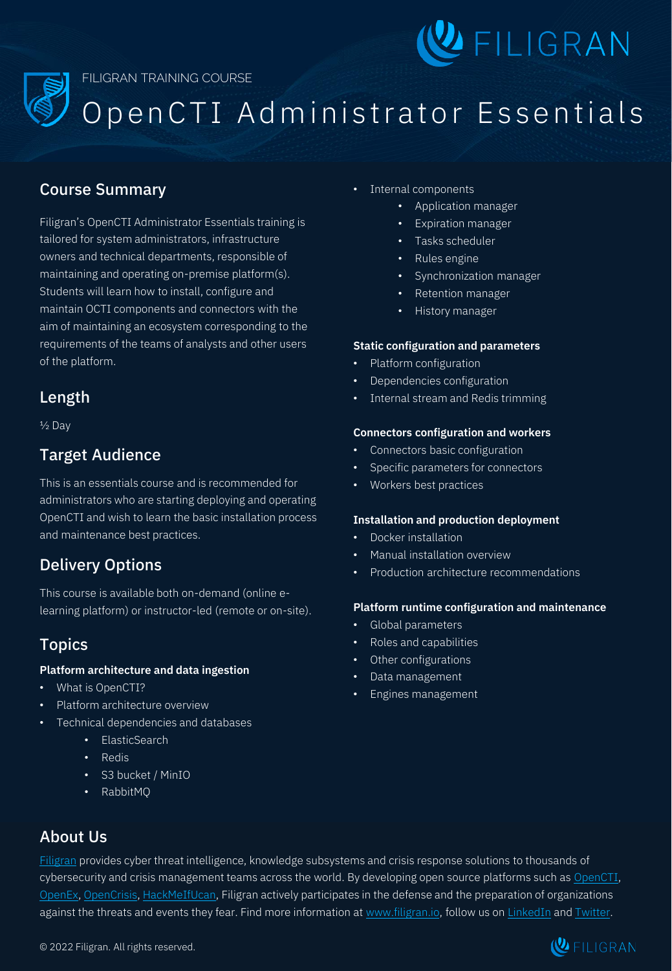

Open CTI Administrator Essentials

## Course Summary

Filigran's OpenCTI Administrator Essentials training is tailored for system administrators, infrastructure owners and technical departments, responsible of maintaining and operating on-premise platform(s). Students will learn how to install, configure and maintain OCTI components and connectors with the aim of maintaining an ecosystem corresponding to the requirements of the teams of analysts and other users of the platform.

## Length

½ Day

## Target Audience

This is an essentials course and is recommended for administrators who are starting deploying and operating OpenCTI and wish to learn the basic installation process and maintenance best practices.

# Delivery Options

This course is available both on-demand (online elearning platform) or instructor-led (remote or on-site).

## Topics

#### **Platform architecture and data ingestion**

- What is OpenCTI?
- Platform architecture overview
- Technical dependencies and databases
	- ElasticSearch
	- Redis
	- S3 bucket / MinIO
	- RabbitMQ
- Internal components
	- Application manager
	- Expiration manager
	- Tasks scheduler
	- Rules engine
	- Synchronization manager
	- Retention manager
	- History manager

#### **Static configuration and parameters**

- Platform configuration
- Dependencies configuration
- Internal stream and Redis trimming

#### **Connectors configuration and workers**

- Connectors basic configuration
- Specific parameters for connectors
- Workers best practices

#### **Installation and production deployment**

- Docker installation
- Manual installation overview
- Production architecture recommendations

#### **Platform runtime configuration and maintenance**

- Global parameters
- Roles and capabilities
- Other configurations
- Data management
- Engines management

# About Us

[Filigran](https://www.filigran.io/) provides cyber threat intelligence, knowledge subsystems and crisis response solutions to thousands of cybersecurity and crisis management teams across the world. By developing open source platforms such as [OpenCTI](https://www.opencti.io/), [OpenEx,](https://www.openex.io/) [OpenCrisis,](https://www.opencrisis.io/) [HackMeIfUcan,](https://www.hmiuc.io/) Filigran actively participates in the defense and the preparation of organizations against the threats and events they fear. Find more information at [www.filigran.io,](https://www.filigran.io/) follow us on [LinkedIn](https://www.linkedin.com/company/filigran) and [Twitter.](https://twitter.com/FiligranHQ)